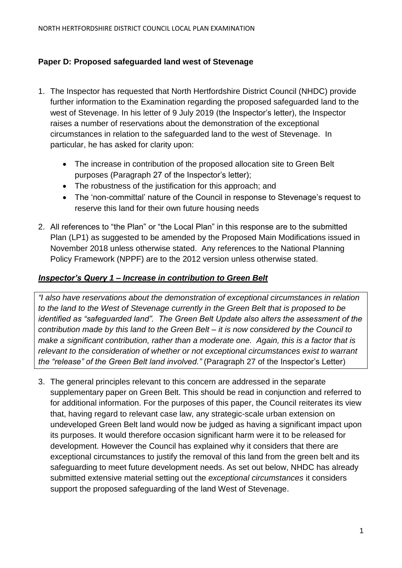## **Paper D: Proposed safeguarded land west of Stevenage**

- 1. The Inspector has requested that North Hertfordshire District Council (NHDC) provide further information to the Examination regarding the proposed safeguarded land to the west of Stevenage. In his letter of 9 July 2019 (the Inspector's letter), the Inspector raises a number of reservations about the demonstration of the exceptional circumstances in relation to the safeguarded land to the west of Stevenage. In particular, he has asked for clarity upon:
	- The increase in contribution of the proposed allocation site to Green Belt purposes (Paragraph 27 of the Inspector's letter);
	- The robustness of the justification for this approach: and
	- The 'non-committal' nature of the Council in response to Stevenage's request to reserve this land for their own future housing needs
- 2. All references to "the Plan" or "the Local Plan" in this response are to the submitted Plan (LP1) as suggested to be amended by the Proposed Main Modifications issued in November 2018 unless otherwise stated. Any references to the National Planning Policy Framework (NPPF) are to the 2012 version unless otherwise stated.

### *Inspector's Query 1 – Increase in contribution to Green Belt*

*"I also have reservations about the demonstration of exceptional circumstances in relation to the land to the West of Stevenage currently in the Green Belt that is proposed to be identified as "safeguarded land". The Green Belt Update also alters the assessment of the contribution made by this land to the Green Belt – it is now considered by the Council to make a significant contribution, rather than a moderate one. Again, this is a factor that is relevant to the consideration of whether or not exceptional circumstances exist to warrant the "release" of the Green Belt land involved."* (Paragraph 27 of the Inspector's Letter)

3. The general principles relevant to this concern are addressed in the separate supplementary paper on Green Belt. This should be read in conjunction and referred to for additional information. For the purposes of this paper, the Council reiterates its view that, having regard to relevant case law, any strategic-scale urban extension on undeveloped Green Belt land would now be judged as having a significant impact upon its purposes. It would therefore occasion significant harm were it to be released for development. However the Council has explained why it considers that there are exceptional circumstances to justify the removal of this land from the green belt and its safeguarding to meet future development needs. As set out below, NHDC has already submitted extensive material setting out the *exceptional circumstances* it considers support the proposed safeguarding of the land West of Stevenage.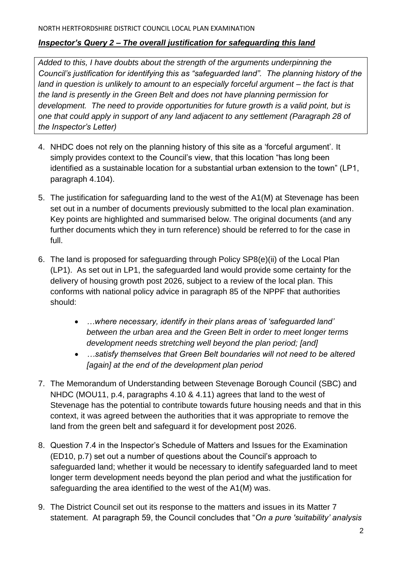### *Inspector's Query 2 – The overall justification for safeguarding this land*

*Added to this, I have doubts about the strength of the arguments underpinning the Council's justification for identifying this as "safeguarded land". The planning history of the land in question is unlikely to amount to an especially forceful argument – the fact is that the land is presently in the Green Belt and does not have planning permission for development. The need to provide opportunities for future growth is a valid point, but is one that could apply in support of any land adjacent to any settlement (Paragraph 28 of the Inspector's Letter)*

- 4. NHDC does not rely on the planning history of this site as a 'forceful argument'. It simply provides context to the Council's view, that this location "has long been identified as a sustainable location for a substantial urban extension to the town" (LP1, paragraph 4.104).
- 5. The justification for safeguarding land to the west of the A1(M) at Stevenage has been set out in a number of documents previously submitted to the local plan examination. Key points are highlighted and summarised below. The original documents (and any further documents which they in turn reference) should be referred to for the case in full.
- 6. The land is proposed for safeguarding through Policy SP8(e)(ii) of the Local Plan (LP1). As set out in LP1, the safeguarded land would provide some certainty for the delivery of housing growth post 2026, subject to a review of the local plan. This conforms with national policy advice in paragraph 85 of the NPPF that authorities should:
	- *…where necessary, identify in their plans areas of 'safeguarded land' between the urban area and the Green Belt in order to meet longer terms development needs stretching well beyond the plan period; [and]*
	- *…satisfy themselves that Green Belt boundaries will not need to be altered [again] at the end of the development plan period*
- 7. The Memorandum of Understanding between Stevenage Borough Council (SBC) and NHDC (MOU11, p.4, paragraphs 4.10 & 4.11) agrees that land to the west of Stevenage has the potential to contribute towards future housing needs and that in this context, it was agreed between the authorities that it was appropriate to remove the land from the green belt and safeguard it for development post 2026.
- 8. Question 7.4 in the Inspector's Schedule of Matters and Issues for the Examination (ED10, p.7) set out a number of questions about the Council's approach to safeguarded land; whether it would be necessary to identify safeguarded land to meet longer term development needs beyond the plan period and what the justification for safeguarding the area identified to the west of the A1(M) was.
- 9. The District Council set out its response to the matters and issues in its Matter 7 statement. At paragraph 59, the Council concludes that "*On a pure 'suitability' analysis*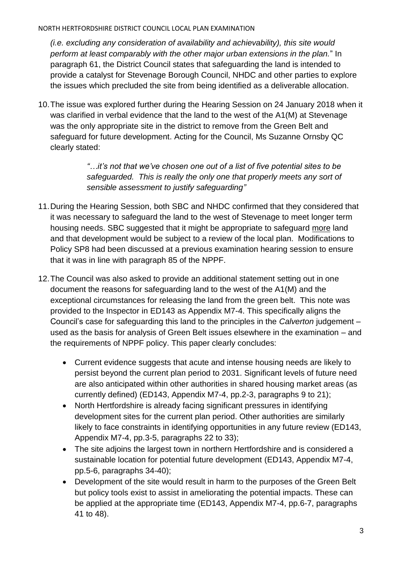### NORTH HERTFORDSHIRE DISTRICT COUNCIL LOCAL PLAN EXAMINATION

*(i.e. excluding any consideration of availability and achievability), this site would perform at least comparably with the other major urban extensions in the plan.*" In paragraph 61, the District Council states that safeguarding the land is intended to provide a catalyst for Stevenage Borough Council, NHDC and other parties to explore the issues which precluded the site from being identified as a deliverable allocation.

10.The issue was explored further during the Hearing Session on 24 January 2018 when it was clarified in verbal evidence that the land to the west of the A1(M) at Stevenage was the only appropriate site in the district to remove from the Green Belt and safeguard for future development. Acting for the Council, Ms Suzanne Ornsby QC clearly stated:

> *"…it's not that we've chosen one out of a list of five potential sites to be*  safeguarded. This is really the only one that properly meets any sort of *sensible assessment to justify safeguarding"*

- 11.During the Hearing Session, both SBC and NHDC confirmed that they considered that it was necessary to safeguard the land to the west of Stevenage to meet longer term housing needs. SBC suggested that it might be appropriate to safeguard more land and that development would be subject to a review of the local plan. Modifications to Policy SP8 had been discussed at a previous examination hearing session to ensure that it was in line with paragraph 85 of the NPPF.
- 12.The Council was also asked to provide an additional statement setting out in one document the reasons for safeguarding land to the west of the A1(M) and the exceptional circumstances for releasing the land from the green belt. This note was provided to the Inspector in ED143 as Appendix M7-4. This specifically aligns the Council's case for safeguarding this land to the principles in the *Calverton* judgement – used as the basis for analysis of Green Belt issues elsewhere in the examination – and the requirements of NPPF policy. This paper clearly concludes:
	- Current evidence suggests that acute and intense housing needs are likely to persist beyond the current plan period to 2031. Significant levels of future need are also anticipated within other authorities in shared housing market areas (as currently defined) (ED143, Appendix M7-4, pp.2-3, paragraphs 9 to 21);
	- North Hertfordshire is already facing significant pressures in identifying development sites for the current plan period. Other authorities are similarly likely to face constraints in identifying opportunities in any future review (ED143, Appendix M7-4, pp.3-5, paragraphs 22 to 33);
	- The site adioins the largest town in northern Hertfordshire and is considered a sustainable location for potential future development (ED143, Appendix M7-4, pp.5-6, paragraphs 34-40);
	- Development of the site would result in harm to the purposes of the Green Belt but policy tools exist to assist in ameliorating the potential impacts. These can be applied at the appropriate time (ED143, Appendix M7-4, pp.6-7, paragraphs 41 to 48).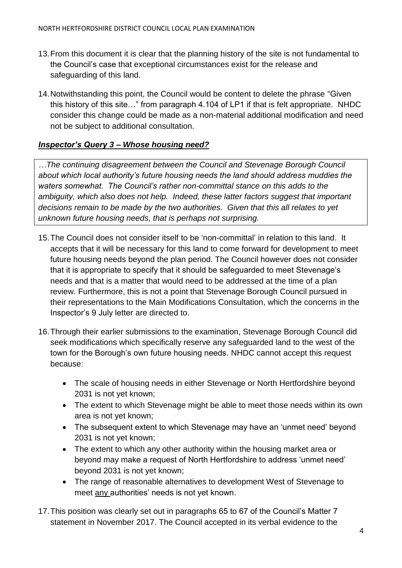- 13.From this document it is clear that the planning history of the site is not fundamental to the Council's case that exceptional circumstances exist for the release and safeguarding of this land.
- 14.Notwithstanding this point, the Council would be content to delete the phrase "Given this history of this site…" from paragraph 4.104 of LP1 if that is felt appropriate. NHDC consider this change could be made as a non-material additional modification and need not be subject to additional consultation.

# *Inspector's Query 3 – Whose housing need?*

*…The continuing disagreement between the Council and Stevenage Borough Council about which local authority's future housing needs the land should address muddies the waters somewhat. The Council's rather non-committal stance on this adds to the ambiguity, which also does not help. Indeed, these latter factors suggest that important decisions remain to be made by the two authorities. Given that this all relates to yet unknown future housing needs, that is perhaps not surprising.* 

- 15.The Council does not consider itself to be 'non-committal' in relation to this land. It accepts that it will be necessary for this land to come forward for development to meet future housing needs beyond the plan period. The Council however does not consider that it is appropriate to specify that it should be safeguarded to meet Stevenage's needs and that is a matter that would need to be addressed at the time of a plan review. Furthermore, this is not a point that Stevenage Borough Council pursued in their representations to the Main Modifications Consultation, which the concerns in the Inspector's 9 July letter are directed to.
- 16.Through their earlier submissions to the examination, Stevenage Borough Council did seek modifications which specifically reserve any safeguarded land to the west of the town for the Borough's own future housing needs. NHDC cannot accept this request because:
	- The scale of housing needs in either Stevenage or North Hertfordshire beyond 2031 is not yet known;
	- The extent to which Stevenage might be able to meet those needs within its own area is not yet known;
	- The subsequent extent to which Stevenage may have an 'unmet need' beyond 2031 is not yet known;
	- The extent to which any other authority within the housing market area or beyond may make a request of North Hertfordshire to address 'unmet need' beyond 2031 is not yet known;
	- The range of reasonable alternatives to development West of Stevenage to meet any authorities' needs is not yet known.
- 17.This position was clearly set out in paragraphs 65 to 67 of the Council's Matter 7 statement in November 2017. The Council accepted in its verbal evidence to the